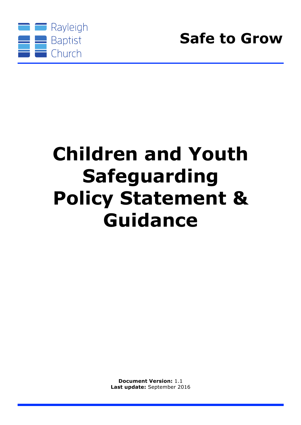

# **Children and Youth Safeguarding Policy Statement & Guidance**

**Document Version:** 1.1 **Last update:** September 2016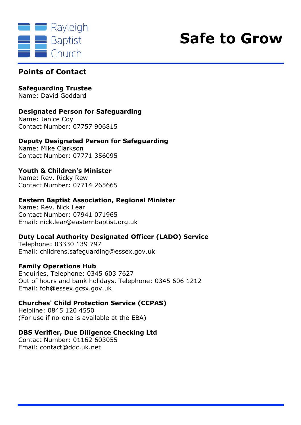



### **Points of Contact**

### **Safeguarding Trustee**

Name: David Goddard

#### **Designated Person for Safeguarding**

Name: Janice Coy Contact Number: 07757 906815

#### **Deputy Designated Person for Safeguarding**

Name: Mike Clarkson Contact Number: 07771 356095

### **Youth & Children's Minister**

Name: Rev. Ricky Rew Contact Number: 07714 265665

#### **Eastern Baptist Association, Regional Minister**

Name: Rev. Nick Lear Contact Number: 07941 071965 Email: nick.lear@easternbaptist.org.uk

#### **Duty Local Authority Designated Officer (LADO) Service**

Telephone: 03330 139 797 Email: childrens.safeguarding@essex.gov.uk

#### **Family Operations Hub**

Enquiries, Telephone: 0345 603 7627 Out of hours and bank holidays, Telephone: 0345 606 1212 Email: foh@essex.gcsx.gov.uk

#### **Churches' Child Protection Service (CCPAS)**

Helpline: 0845 120 4550 (For use if no-one is available at the EBA)

#### **DBS Verifier, Due Diligence Checking Ltd**

Contact Number: 01162 603055 Email: contact@ddc.uk.net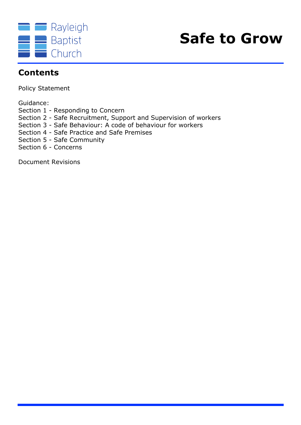



### **Contents**

Policy Statement

Guidance:

- Section 1 Responding to Concern
- Section 2 Safe Recruitment, Support and Supervision of workers
- Section 3 Safe Behaviour: A code of behaviour for workers
- Section 4 Safe Practice and Safe Premises
- Section 5 Safe Community
- Section 6 Concerns

Document Revisions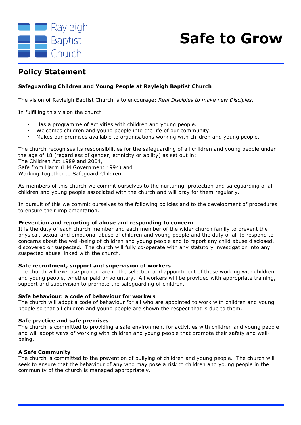



### **Policy Statement**

#### **Safeguarding Children and Young People at Rayleigh Baptist Church**

The vision of Rayleigh Baptist Church is to encourage: *Real Disciples to make new Disciples.*

In fulfilling this vision the church:

- Has a programme of activities with children and young people.
- Welcomes children and young people into the life of our community.
- Makes our premises available to organisations working with children and young people.

The church recognises its responsibilities for the safeguarding of all children and young people under the age of 18 (regardless of gender, ethnicity or ability) as set out in:

The Children Act 1989 and 2004,

Safe from Harm (HM Government 1994) and

Working Together to Safeguard Children.

As members of this church we commit ourselves to the nurturing, protection and safeguarding of all children and young people associated with the church and will pray for them regularly.

In pursuit of this we commit ourselves to the following policies and to the development of procedures to ensure their implementation.

#### **Prevention and reporting of abuse and responding to concern**

It is the duty of each church member and each member of the wider church family to prevent the physical, sexual and emotional abuse of children and young people and the duty of all to respond to concerns about the well-being of children and young people and to report any child abuse disclosed, discovered or suspected. The church will fully co-operate with any statutory investigation into any suspected abuse linked with the church.

#### **Safe recruitment, support and supervision of workers**

The church will exercise proper care in the selection and appointment of those working with children and young people, whether paid or voluntary. All workers will be provided with appropriate training, support and supervision to promote the safeguarding of children.

#### **Safe behaviour: a code of behaviour for workers**

The church will adopt a code of behaviour for all who are appointed to work with children and young people so that all children and young people are shown the respect that is due to them.

#### **Safe practice and safe premises**

The church is committed to providing a safe environment for activities with children and young people and will adopt ways of working with children and young people that promote their safety and wellbeing.

#### **A Safe Community**

The church is committed to the prevention of bullying of children and young people. The church will seek to ensure that the behaviour of any who may pose a risk to children and young people in the community of the church is managed appropriately.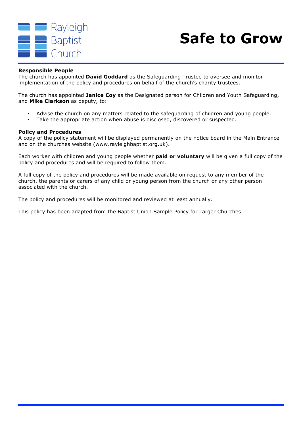

#### **Responsible People**

The church has appointed **David Goddard** as the Safeguarding Trustee to oversee and monitor implementation of the policy and procedures on behalf of the church's charity trustees.

The church has appointed **Janice Coy** as the Designated person for Children and Youth Safeguarding, and **Mike Clarkson** as deputy, to:

- Advise the church on any matters related to the safeguarding of children and young people.
- Take the appropriate action when abuse is disclosed, discovered or suspected.

#### **Policy and Procedures**

A copy of the policy statement will be displayed permanently on the notice board in the Main Entrance and on the churches website (www.rayleighbaptist.org.uk).

Each worker with children and young people whether **paid or voluntary** will be given a full copy of the policy and procedures and will be required to follow them.

A full copy of the policy and procedures will be made available on request to any member of the church, the parents or carers of any child or young person from the church or any other person associated with the church.

The policy and procedures will be monitored and reviewed at least annually.

This policy has been adapted from the Baptist Union Sample Policy for Larger Churches.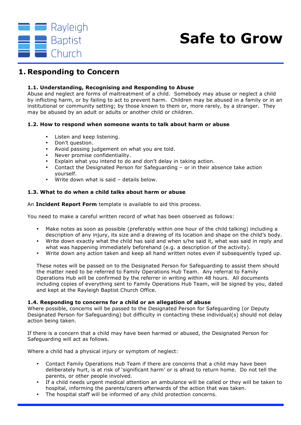

### **1. Responding to Concern**

#### **1.1. Understanding, Recognising and Responding to Abuse**

Abuse and neglect are forms of maltreatment of a child. Somebody may abuse or neglect a child by inflicting harm, or by failing to act to prevent harm. Children may be abused in a family or in an institutional or community setting; by those known to them or, more rarely, by a stranger. They may be abused by an adult or adults or another child or children.

#### **1.2. How to respond when someone wants to talk about harm or abuse**

- Listen and keep listening.
- Don't question.
- Avoid passing judgement on what you are told.
- Never promise confidentiality.
- Explain what you intend to do and don't delay in taking action.
- Contact the Designated Person for Safeguarding or in their absence take action yourself.
- Write down what is said details below.

#### **1.3. What to do when a child talks about harm or abuse**

An **Incident Report Form** template is available to aid this process.

You need to make a careful written record of what has been observed as follows:

- Make notes as soon as possible (preferably within one hour of the child talking) including a description of any injury, its size and a drawing of its location and shape on the child's body.
- Write down exactly what the child has said and when s/he said it, what was said in reply and what was happening immediately beforehand (e.g. a description of the activity).
- Write down any action taken and keep all hand written notes even if subsequently typed up.

These notes will be passed on to the Designated Person for Safeguarding to assist them should the matter need to be referred to Family Operations Hub Team. Any referral to Family Operations Hub will be confirmed by the referrer in writing within 48 hours. All documents including copies of everything sent to Family Operations Hub Team, will be signed by you, dated and kept at the Rayleigh Baptist Church Office.

#### **1.4. Responding to concerns for a child or an allegation of abuse**

Where possible, concerns will be passed to the Designated Person for Safeguarding (or Deputy Designated Person for Safeguarding) but difficulty in contacting these individual(s) should not delay action being taken.

If there is a concern that a child may have been harmed or abused, the Designated Person for Safeguarding will act as follows.

Where a child had a physical injury or symptom of neglect:

- Contact Family Operations Hub Team if there are concerns that a child may have been deliberately hurt, is at risk of 'significant harm' or is afraid to return home. Do not tell the parents, or other people involved.
- If a child needs urgent medical attention an ambulance will be called or they will be taken to hospital, informing the parents/carers afterwards of the action that was taken.
- The hospital staff will be informed of any child protection concerns.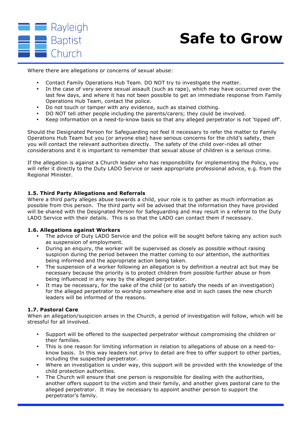

Where there are allegations or concerns of sexual abuse:

- Contact Family Operations Hub Team. DO NOT try to investigate the matter.
- In the case of very severe sexual assault (such as rape), which may have occurred over the last few days, and where it has not been possible to get an immediate response from Family Operations Hub Team, contact the police.
- Do not touch or tamper with any evidence, such as stained clothing.
- DO NOT tell other people including the parents/carers; they could be involved.
- Keep information on a need-to-know basis so that any alleged perpetrator is not 'tipped off'.

Should the Designated Person for Safeguarding not feel it necessary to refer the matter to Family Operations Hub Team but you (or anyone else) have serious concerns for the child's safety, then you will contact the relevant authorities directly. The safety of the child over-rides all other considerations and it is important to remember that sexual abuse of children is a serious crime.

If the allegation is against a Church leader who has responsibility for implementing the Policy, you will refer it directly to the Duty LADO Service or seek appropriate professional advice, e.g. from the Regional Minister.

#### **1.5. Third Party Allegations and Referrals**

Where a third party alleges abuse towards a child, your role is to gather as much information as possible from this person. The third party will be advised that the information they have provided will be shared with the Designated Person for Safeguarding and may result in a referral to the Duty LADO Service with their details. This is so that the LADO can contact them if necessary.

#### **1.6. Allegations against Workers**

- The advice of Duty LADO Service and the police will be sought before taking any action such as suspension of employment.
- During an enquiry, the worker will be supervised as closely as possible without raising suspicion during the period between the matter coming to our attention, the authorities being informed and the appropriate action being taken.
- The suspension of a worker following an allegation is by definition a neutral act but may be necessary because the priority is to protect children from possible further abuse or from being influenced in any way by the alleged perpetrator.
- It may be necessary, for the sake of the child (or to satisfy the needs of an investigation) for the alleged perpetrator to worship somewhere else and in such cases the new church leaders will be informed of the reasons.

#### **1.7. Pastoral Care**

When an allegation/suspicion arises in the Church, a period of investigation will follow, which will be stressful for all involved.

- Support will be offered to the suspected perpetrator without compromising the children or their families.
- This is one reason for limiting information in relation to allegations of abuse on a need-toknow basis. In this way leaders not privy to detail are free to offer support to other parties, including the suspected perpetrator.
- Where an investigation is under way, this support will be provided with the knowledge of the child protection authorities.
- The Church will ensure that one person is responsible for dealing with the authorities, another offers support to the victim and their family, and another gives pastoral care to the alleged perpetrator. It may be necessary to appoint another person to support the perpetrator's family.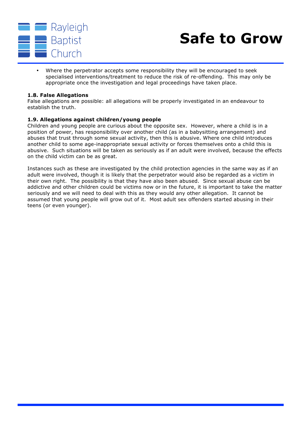

• Where the perpetrator accepts some responsibility they will be encouraged to seek specialised interventions/treatment to reduce the risk of re-offending. This may only be appropriate once the investigation and legal proceedings have taken place.

#### **1.8. False Allegations**

False allegations are possible: all allegations will be properly investigated in an endeavour to establish the truth.

#### **1.9. Allegations against children/young people**

Children and young people are curious about the opposite sex. However, where a child is in a position of power, has responsibility over another child (as in a babysitting arrangement) and abuses that trust through some sexual activity, then this is abusive. Where one child introduces another child to some age-inappropriate sexual activity or forces themselves onto a child this is abusive. Such situations will be taken as seriously as if an adult were involved, because the effects on the child victim can be as great.

Instances such as these are investigated by the child protection agencies in the same way as if an adult were involved, though it is likely that the perpetrator would also be regarded as a victim in their own right. The possibility is that they have also been abused. Since sexual abuse can be addictive and other children could be victims now or in the future, it is important to take the matter seriously and we will need to deal with this as they would any other allegation. It cannot be assumed that young people will grow out of it. Most adult sex offenders started abusing in their teens (or even younger).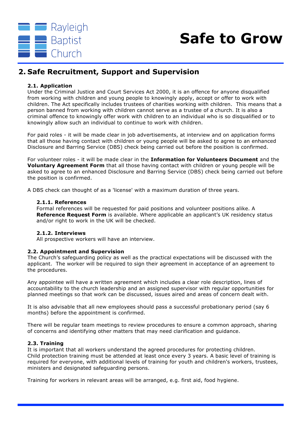

### **2. Safe Recruitment, Support and Supervision**

#### **2.1. Application**

Under the Criminal Justice and Court Services Act 2000, it is an offence for anyone disqualified from working with children and young people to knowingly apply, accept or offer to work with children. The Act specifically includes trustees of charities working with children. This means that a person banned from working with children cannot serve as a trustee of a church. It is also a criminal offence to knowingly offer work with children to an individual who is so disqualified or to knowingly allow such an individual to continue to work with children.

For paid roles - it will be made clear in job advertisements, at interview and on application forms that all those having contact with children or young people will be asked to agree to an enhanced Disclosure and Barring Service (DBS) check being carried out before the position is confirmed.

For volunteer roles - it will be made clear in the **Information for Volunteers Document** and the **Voluntary Agreement Form** that all those having contact with children or young people will be asked to agree to an enhanced Disclosure and Barring Service (DBS) check being carried out before the position is confirmed.

A DBS check can thought of as a 'license' with a maximum duration of three years.

#### **2.1.1. References**

Formal references will be requested for paid positions and volunteer positions alike. A **Reference Request Form** is available. Where applicable an applicant's UK residency status and/or right to work in the UK will be checked.

#### **2.1.2. Interviews**

All prospective workers will have an interview.

#### **2.2. Appointment and Supervision**

The Church's safeguarding policy as well as the practical expectations will be discussed with the applicant. The worker will be required to sign their agreement in acceptance of an agreement to the procedures.

Any appointee will have a written agreement which includes a clear role description, lines of accountability to the church leadership and an assigned supervisor with regular opportunities for planned meetings so that work can be discussed, issues aired and areas of concern dealt with.

It is also advisable that all new employees should pass a successful probationary period (say 6 months) before the appointment is confirmed.

There will be regular team meetings to review procedures to ensure a common approach, sharing of concerns and identifying other matters that may need clarification and guidance.

#### **2.3. Training**

It is important that all workers understand the agreed procedures for protecting children. Child protection training must be attended at least once every 3 years. A basic level of training is required for everyone, with additional levels of training for youth and children's workers, trustees, ministers and designated safeguarding persons.

Training for workers in relevant areas will be arranged, e.g. first aid, food hygiene.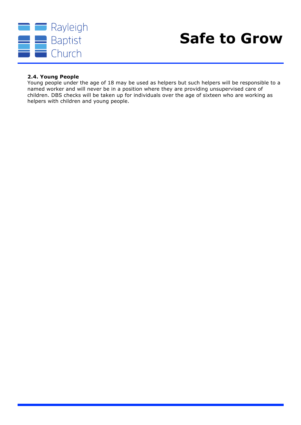

#### **2.4. Young People**

Young people under the age of 18 may be used as helpers but such helpers will be responsible to a named worker and will never be in a position where they are providing unsupervised care of children. DBS checks will be taken up for individuals over the age of sixteen who are working as helpers with children and young people.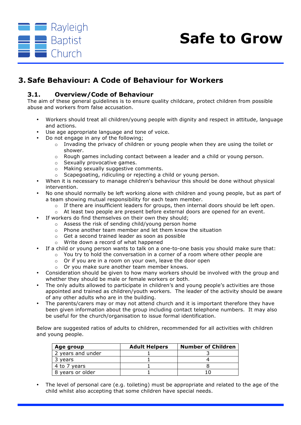

### **3. Safe Behaviour: A Code of Behaviour for Workers**

#### **3.1. Overview/Code of Behaviour**

The aim of these general guidelines is to ensure quality childcare, protect children from possible abuse and workers from false accusation.

- Workers should treat all children/young people with dignity and respect in attitude, language and actions.
- Use age appropriate language and tone of voice.
- Do not engage in any of the following;
	- o Invading the privacy of children or young people when they are using the toilet or shower.
	- o Rough games including contact between a leader and a child or young person.
	- o Sexually provocative games.
	- o Making sexually suggestive comments.
	- o Scapegoating, ridiculing or rejecting a child or young person.
- When it is necessary to manage children's behaviour this should be done without physical intervention.
- No one should normally be left working alone with children and young people, but as part of a team showing mutual responsibility for each team member.
	- $\circ$  If there are insufficient leaders for groups, then internal doors should be left open.
	- $\circ$  At least two people are present before external doors are opened for an event.
	- If workers do find themselves on their own they should;
		- o Assess the risk of sending child/young person home
		- o Phone another team member and let them know the situation
		- o Get a second trained leader as soon as possible
		- o Write down a record of what happened
- If a child or young person wants to talk on a one-to-one basis you should make sure that:
	- $\circ$  You try to hold the conversation in a corner of a room where other people are
	- o Or if you are in a room on your own, leave the door open
	- o Or you make sure another team member knows.
- Consideration should be given to how many workers should be involved with the group and whether they should be male or female workers or both.
- The only adults allowed to participate in children's and young people's activities are those appointed and trained as children/youth workers. The leader of the activity should be aware of any other adults who are in the building.
- The parents/carers may or may not attend church and it is important therefore they have been given information about the group including contact telephone numbers. It may also be useful for the church/organisation to issue formal identification.

Below are suggested ratios of adults to children, recommended for all activities with children and young people.

| Age group         | <b>Adult Helpers</b> | <b>Number of Children</b> |
|-------------------|----------------------|---------------------------|
| 2 years and under |                      |                           |
| 3 vears           |                      |                           |
| 4 to 7 years      |                      |                           |
| 8 years or older  |                      |                           |

• The level of personal care (e.g. toileting) must be appropriate and related to the age of the child whilst also accepting that some children have special needs.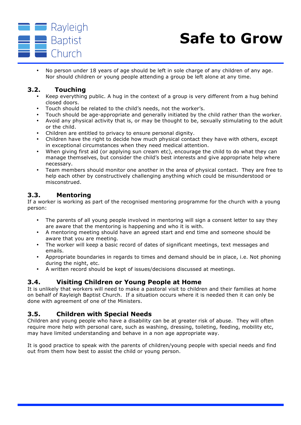

• No person under 18 years of age should be left in sole charge of any children of any age. Nor should children or young people attending a group be left alone at any time.

#### **3.2. Touching**

- Keep everything public. A hug in the context of a group is very different from a hug behind closed doors.
- Touch should be related to the child's needs, not the worker's.
- Touch should be age-appropriate and generally initiated by the child rather than the worker.
- Avoid any physical activity that is, or may be thought to be, sexually stimulating to the adult or the child.
- Children are entitled to privacy to ensure personal dignity.
- Children have the right to decide how much physical contact they have with others, except in exceptional circumstances when they need medical attention.
- When giving first aid (or applying sun cream etc), encourage the child to do what they can manage themselves, but consider the child's best interests and give appropriate help where necessary.
- Team members should monitor one another in the area of physical contact. They are free to help each other by constructively challenging anything which could be misunderstood or misconstrued.

#### **3.3. Mentoring**

If a worker is working as part of the recognised mentoring programme for the church with a young person:

- The parents of all young people involved in mentoring will sign a consent letter to say they are aware that the mentoring is happening and who it is with.
- A mentoring meeting should have an agreed start and end time and someone should be aware that you are meeting.
- The worker will keep a basic record of dates of significant meetings, text messages and emails.
- Appropriate boundaries in regards to times and demand should be in place, i.e. Not phoning during the night, etc.
- A written record should be kept of issues/decisions discussed at meetings.

#### **3.4. Visiting Children or Young People at Home**

It is unlikely that workers will need to make a pastoral visit to children and their families at home on behalf of Rayleigh Baptist Church. If a situation occurs where it is needed then it can only be done with agreement of one of the Ministers.

#### **3.5. Children with Special Needs**

Children and young people who have a disability can be at greater risk of abuse. They will often require more help with personal care, such as washing, dressing, toileting, feeding, mobility etc, may have limited understanding and behave in a non age appropriate way.

It is good practice to speak with the parents of children/young people with special needs and find out from them how best to assist the child or young person.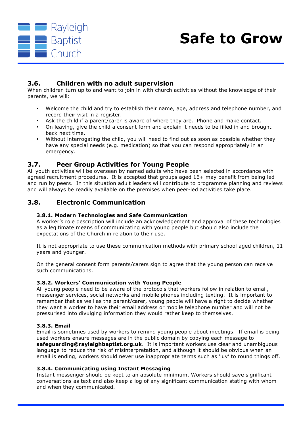

#### **3.6. Children with no adult supervision**

When children turn up to and want to join in with church activities without the knowledge of their parents, we will:

- Welcome the child and try to establish their name, age, address and telephone number, and record their visit in a register.
- Ask the child if a parent/carer is aware of where they are. Phone and make contact.
- On leaving, give the child a consent form and explain it needs to be filled in and brought back next time.
- Without interrogating the child, you will need to find out as soon as possible whether they have any special needs (e.g. medication) so that you can respond appropriately in an emergency.

#### **3.7. Peer Group Activities for Young People**

All youth activities will be overseen by named adults who have been selected in accordance with agreed recruitment procedures. It is accepted that groups aged 16+ may benefit from being led and run by peers. In this situation adult leaders will contribute to programme planning and reviews and will always be readily available on the premises when peer-led activities take place.

#### **3.8. Electronic Communication**

#### **3.8.1. Modern Technologies and Safe Communication**

A worker's role description will include an acknowledgement and approval of these technologies as a legitimate means of communicating with young people but should also include the expectations of the Church in relation to their use.

It is not appropriate to use these communication methods with primary school aged children, 11 years and younger.

On the general consent form parents/carers sign to agree that the young person can receive such communications.

#### **3.8.2. Workers' Communication with Young People**

All young people need to be aware of the protocols that workers follow in relation to email, messenger services, social networks and mobile phones including texting. It is important to remember that as well as the parent/carer, young people will have a right to decide whether they want a worker to have their email address or mobile telephone number and will not be pressurised into divulging information they would rather keep to themselves.

#### **3.8.3. Email**

Email is sometimes used by workers to remind young people about meetings. If email is being used workers ensure messages are in the public domain by copying each message to **safeguarding@rayleighbaptist.org.uk**. It is important workers use clear and unambiguous language to reduce the risk of misinterpretation, and although it should be obvious when an email is ending, workers should never use inappropriate terms such as 'luv' to round things off.

#### **3.8.4. Communicating using Instant Messaging**

Instant messenger should be kept to an absolute minimum. Workers should save significant conversations as text and also keep a log of any significant communication stating with whom and when they communicated.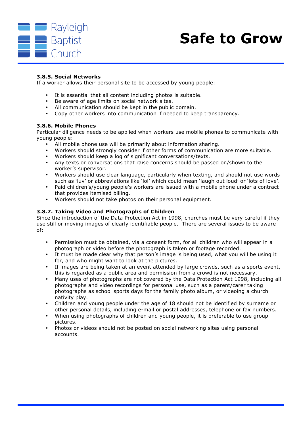

#### **3.8.5. Social Networks**

If a worker allows their personal site to be accessed by young people:

- It is essential that all content including photos is suitable.
- Be aware of age limits on social network sites.
- All communication should be kept in the public domain.
- Copy other workers into communication if needed to keep transparency.

#### **3.8.6. Mobile Phones**

Particular diligence needs to be applied when workers use mobile phones to communicate with young people:

- All mobile phone use will be primarily about information sharing.
- Workers should strongly consider if other forms of communication are more suitable.
- Workers should keep a log of significant conversations/texts.
- Any texts or conversations that raise concerns should be passed on/shown to the worker's supervisor.
- Workers should use clear language, particularly when texting, and should not use words such as 'luv' or abbreviations like 'lol' which could mean 'laugh out loud' or 'lots of love'.
- Paid children's/young people's workers are issued with a mobile phone under a contract that provides itemised billing.
- Workers should not take photos on their personal equipment.

#### **3.8.7. Taking Video and Photographs of Children**

Since the introduction of the Data Protection Act in 1998, churches must be very careful if they use still or moving images of clearly identifiable people. There are several issues to be aware of:

- Permission must be obtained, via a consent form, for all children who will appear in a photograph or video before the photograph is taken or footage recorded.
- It must be made clear why that person's image is being used, what you will be using it for, and who might want to look at the pictures.
- If images are being taken at an event attended by large crowds, such as a sports event, this is regarded as a public area and permission from a crowd is not necessary.
- Many uses of photographs are not covered by the Data Protection Act 1998, including all photographs and video recordings for personal use, such as a parent/carer taking photographs as school sports days for the family photo album, or videoing a church nativity play.
- Children and young people under the age of 18 should not be identified by surname or other personal details, including e-mail or postal addresses, telephone or fax numbers.
- When using photographs of children and young people, it is preferable to use group pictures.
- Photos or videos should not be posted on social networking sites using personal accounts.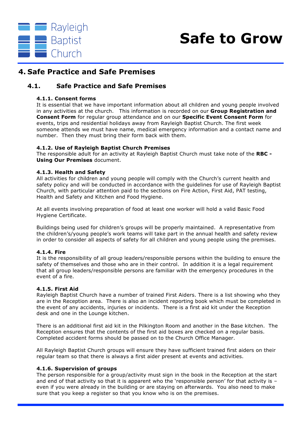

### **4. Safe Practice and Safe Premises**

#### **4.1. Safe Practice and Safe Premises**

#### **4.1.1. Consent forms**

It is essential that we have important information about all children and young people involved in any activities at the church. This information is recorded on our **Group Registration and Consent Form** for regular group attendance and on our **Specific Event Consent Form** for events, trips and residential holidays away from Rayleigh Baptist Church. The first week someone attends we must have name, medical emergency information and a contact name and number. Then they must bring their form back with them.

#### **4.1.2. Use of Rayleigh Baptist Church Premises**

The responsible adult for an activity at Rayleigh Baptist Church must take note of the **RBC - Using Our Premises** document.

#### **4.1.3. Health and Safety**

All activities for children and young people will comply with the Church's current health and safety policy and will be conducted in accordance with the guidelines for use of Rayleigh Baptist Church*,* with particular attention paid to the sections on Fire Action, First Aid, PAT testing, Health and Safety and Kitchen and Food Hygiene.

At all events involving preparation of food at least one worker will hold a valid Basic Food Hygiene Certificate.

Buildings being used for children's groups will be properly maintained. A representative from the children's/young people's work teams will take part in the annual health and safety review in order to consider all aspects of safety for all children and young people using the premises.

#### **4.1.4. Fire**

It is the responsibility of all group leaders/responsible persons within the building to ensure the safety of themselves and those who are in their control. In addition it is a legal requirement that all group leaders/responsible persons are familiar with the emergency procedures in the event of a fire.

#### **4.1.5. First Aid**

Rayleigh Baptist Church have a number of trained First Aiders. There is a list showing who they are in the Reception area. There is also an incident reporting book which must be completed in the event of any accidents, injuries or incidents. There is a first aid kit under the Reception desk and one in the Lounge kitchen.

There is an additional first aid kit in the Pilkington Room and another in the Base kitchen. The Reception ensures that the contents of the first aid boxes are checked on a regular basis. Completed accident forms should be passed on to the Church Office Manager.

All Rayleigh Baptist Church groups will ensure they have sufficient trained first aiders on their regular team so that there is always a first aider present at events and activities.

#### **4.1.6. Supervision of groups**

The person responsible for a group/activity must sign in the book in the Reception at the start and end of that activity so that it is apparent who the 'responsible person' for that activity is  $$ even if you were already in the building or are staying on afterwards. You also need to make sure that you keep a register so that you know who is on the premises.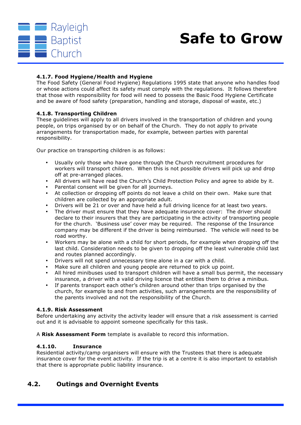

#### **4.1.7. Food Hygiene/Health and Hygiene**

The Food Safety (General Food Hygiene) Regulations 1995 state that anyone who handles food or whose actions could affect its safety must comply with the regulations. It follows therefore that those with responsibility for food will need to possess the Basic Food Hygiene Certificate and be aware of food safety (preparation, handling and storage, disposal of waste, etc.)

#### **4.1.8. Transporting Children**

These guidelines will apply to all drivers involved in the transportation of children and young people, on trips organised by or on behalf of the Church. They do not apply to private arrangements for transportation made, for example, between parties with parental responsibility.

Our practice on transporting children is as follows:

- Usually only those who have gone through the Church recruitment procedures for workers will transport children. When this is not possible drivers will pick up and drop off at pre-arranged places.
- All drivers will have read the Church's Child Protection Policy and agree to abide by it.
- Parental consent will be given for all journeys.
- At collection or dropping off points do not leave a child on their own. Make sure that children are collected by an appropriate adult.
- Drivers will be 21 or over and have held a full driving licence for at least two years.
- The driver must ensure that they have adequate insurance cover: The driver should declare to their insurers that they are participating in the activity of transporting people for the church. 'Business use' cover may be required. The response of the Insurance company may be different if the driver is being reimbursed. The vehicle will need to be road worthy.
- Workers may be alone with a child for short periods, for example when dropping off the last child. Consideration needs to be given to dropping off the least vulnerable child last and routes planned accordingly.
- Drivers will not spend unnecessary time alone in a car with a child.
- Make sure all children and young people are returned to pick up point.
- All hired minibuses used to transport children will have a small bus permit, the necessary insurance, a driver with a valid driving licence that entitles them to drive a minibus.
- If parents transport each other's children around other than trips organised by the church, for example to and from activities, such arrangements are the responsibility of the parents involved and not the responsibility of the Church.

#### **4.1.9. Risk Assessment**

Before undertaking any activity the activity leader will ensure that a risk assessment is carried out and it is advisable to appoint someone specifically for this task.

A **Risk Assessment Form** template is available to record this information.

#### **4.1.10. Insurance**

Residential activity/camp organisers will ensure with the Trustees that there is adequate insurance cover for the event activity. If the trip is at a centre it is also important to establish that there is appropriate public liability insurance.

#### **4.2. Outings and Overnight Events**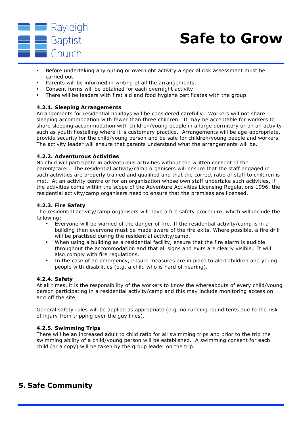

- Before undertaking any outing or overnight activity a special risk assessment must be carried out.
- Parents will be informed in writing of all the arrangements.
- Consent forms will be obtained for each overnight activity.
- There will be leaders with first aid and food hygiene certificates with the group.

#### **4.2.1. Sleeping Arrangements**

Arrangements for residential holidays will be considered carefully. Workers will not share sleeping accommodation with fewer than three children. It may be acceptable for workers to share sleeping accommodation with children/young people in a large dormitory or on an activity such as youth hostelling where it is customary practice. Arrangements will be age-appropriate, provide security for the child/young person and be safe for children/young people and workers. The activity leader will ensure that parents understand what the arrangements will be.

#### **4.2.2. Adventurous Activities**

No child will participate in adventurous activities without the written consent of the parent/carer. The residential activity/camp organisers will ensure that the staff engaged in such activities are properly trained and qualified and that the correct ratio of staff to children is met. At an activity centre or for an organisation whose own staff undertake such activities, if the activities come within the scope of the Adventure Activities Licensing Regulations 1996, the residential activity/camp organisers need to ensure that the premises are licensed.

#### **4.2.3. Fire Safety**

The residential activity/camp organisers will have a fire safety procedure, which will include the following:

- Everyone will be warned of the danger of fire. If the residential activity/camp is in a building then everyone must be made aware of the fire exits. Where possible, a fire drill will be practised during the residential activity/camp.
- When using a building as a residential facility, ensure that the fire alarm is audible throughout the accommodation and that all signs and exits are clearly visible. It will also comply with fire regulations.
- In the case of an emergency, ensure measures are in place to alert children and young people with disabilities (e.g. a child who is hard of hearing).

#### **4.2.4. Safety**

At all times, it is the responsibility of the workers to know the whereabouts of every child/young person participating in a residential activity/camp and this may include monitoring access on and off the site.

General safety rules will be applied as appropriate (e.g. no running round tents due to the risk of injury from tripping over the guy lines).

#### **4.2.5. Swimming Trips**

There will be an increased adult to child ratio for all swimming trips and prior to the trip the swimming ability of a child/young person will be established. A swimming consent for each child (or a copy) will be taken by the group leader on the trip.

### **5. Safe Community**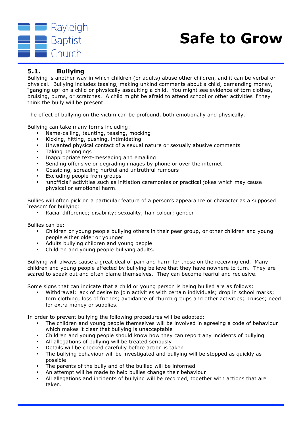

#### **5.1. Bullying**

Bullying is another way in which children (or adults) abuse other children, and it can be verbal or physical. Bullying includes teasing, making unkind comments about a child, demanding money, "ganging up" on a child or physically assaulting a child. You might see evidence of torn clothes, bruising, burns, or scratches. A child might be afraid to attend school or other activities if they think the bully will be present.

The effect of bullying on the victim can be profound, both emotionally and physically.

Bullying can take many forms including:

- Name-calling, taunting, teasing, mocking
- Kicking, hitting, pushing, intimidating
- Unwanted physical contact of a sexual nature or sexually abusive comments
- Taking belongings
- Inappropriate text-messaging and emailing
- Sending offensive or degrading images by phone or over the internet
- Gossiping, spreading hurtful and untruthful rumours
- Excluding people from groups
- 'unofficial' activities such as initiation ceremonies or practical jokes which may cause physical or emotional harm.

Bullies will often pick on a particular feature of a person's appearance or character as a supposed 'reason' for bullying:

• Racial difference; disability; sexuality; hair colour; gender

Bullies can be:

- Children or young people bullying others in their peer group, or other children and young people either older or younger
- Adults bullying children and young people
- Children and young people bullying adults.

Bullying will always cause a great deal of pain and harm for those on the receiving end. Many children and young people affected by bullying believe that they have nowhere to turn. They are scared to speak out and often blame themselves. They can become fearful and reclusive.

Some signs that can indicate that a child or young person is being bullied are as follows:

• Withdrawal; lack of desire to join activities with certain individuals; drop in school marks; torn clothing; loss of friends; avoidance of church groups and other activities; bruises; need for extra money or supplies.

In order to prevent bullying the following procedures will be adopted:

- The children and young people themselves will be involved in agreeing a code of behaviour which makes it clear that bullying is unacceptable
- Children and young people should know how they can report any incidents of bullying
- All allegations of bullying will be treated seriously
- Details will be checked carefully before action is taken
- The bullying behaviour will be investigated and bullying will be stopped as quickly as possible
- The parents of the bully and of the bullied will be informed
- An attempt will be made to help bullies change their behaviour
- All allegations and incidents of bullying will be recorded, together with actions that are taken.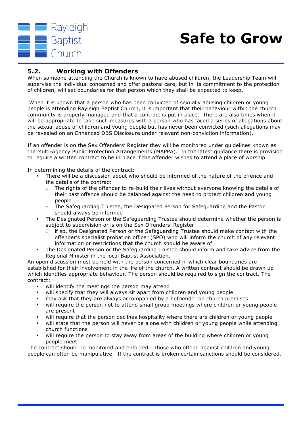

#### **5.2. Working with Offenders**

When someone attending the Church is known to have abused children, the Leadership Team will supervise the individual concerned and offer pastoral care, but in its commitment to the protection of children, will set boundaries for that person which they shall be expected to keep.

When it is known that a person who has been convicted of sexually abusing children or young people is attending Rayleigh Baptist Church, it is important that their behaviour within the church community is properly managed and that a contract is put in place. There are also times when it will be appropriate to take such measures with a person who has faced a series of allegations about the sexual abuse of children and young people but has never been convicted (such allegations may be revealed on an Enhanced DBS Disclosure under relevant non-conviction information).

If an offender is on the Sex Offenders' Register they will be monitored under guidelines known as the Multi-Agency Public Protection Arrangements (MAPPA). In the latest guidance there is provision to require a written contract to be in place if the offender wishes to attend a place of worship.

In determining the details of the contract:

- There will be a discussion about who should be informed of the nature of the offence and the details of the contract
	- $\circ$  The rights of the offender to re-build their lives without everyone knowing the details of their past offence should be balanced against the need to protect children and young people
	- o The Safeguarding Trustee, the Designated Person for Safeguarding and the Pastor should always be informed
- The Designated Person or the Safeguarding Trustee should determine whether the person is subject to supervision or is on the Sex Offenders' Register
	- $\circ$  if so, the Designated Person or the Safeguarding Trustee should make contact with the offender's specialist probation officer (SPO) who will inform the church of any relevant information or restrictions that the church should be aware of
- The Designated Person or the Safeguarding Trustee should inform and take advice from the Regional Minister in the local Baptist Association.

An open discussion must be held with the person concerned in which clear boundaries are established for their involvement in the life of the church. A written contract should be drawn up which identifies appropriate behaviour. The person should be required to sign the contract. The contract:

- will identify the meetings the person may attend
- will specify that they will always sit apart from children and young people
- may ask that they are always accompanied by a befriender on church premises
- will require the person not to attend small group meetings where children or young people are present
- will require that the person declines hospitality where there are children or young people
- will state that the person will never be alone with children or young people while attending church functions
- will require the person to stay away from areas of the building where children or young people meet.

The contract should be monitored and enforced. Those who offend against children and young people can often be manipulative. If the contract is broken certain sanctions should be considered.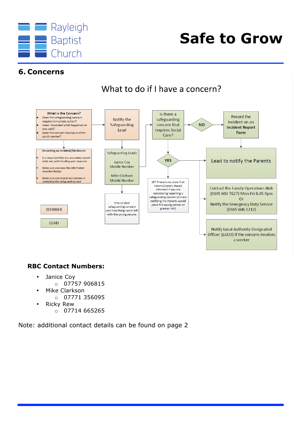

### **6. Concerns**



What to do if I have a concern?

#### **RBC Contact Numbers:**

- Janice Coy
	- $o$  07757 906815
- Mike Clarkson
	- o 07771 356095
- Ricky Rew
	- $\circ$  07714 665265

Note: additional contact details can be found on page 2